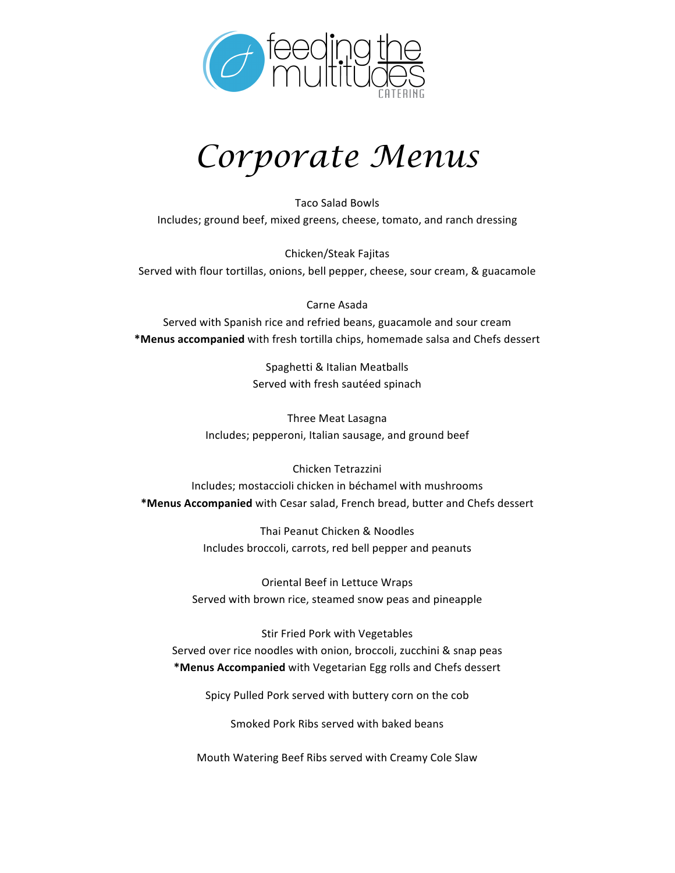

## *Corporate Menus*

Taco Salad Bowls Includes; ground beef, mixed greens, cheese, tomato, and ranch dressing

Chicken/Steak Fajitas Served with flour tortillas, onions, bell pepper, cheese, sour cream, & guacamole

Carne Asada Served with Spanish rice and refried beans, guacamole and sour cream **\*Menus accompanied** with fresh tortilla chips, homemade salsa and Chefs dessert

> Spaghetti & Italian Meatballs Served with fresh sautéed spinach

Three Meat Lasagna Includes; pepperoni, Italian sausage, and ground beef

Chicken Tetrazzini Includes; mostaccioli chicken in béchamel with mushrooms **\*Menus Accompanied** with Cesar salad, French bread, butter and Chefs dessert

> Thai Peanut Chicken & Noodles Includes broccoli, carrots, red bell pepper and peanuts

Oriental Beef in Lettuce Wraps Served with brown rice, steamed snow peas and pineapple

Stir Fried Pork with Vegetables Served over rice noodles with onion, broccoli, zucchini & snap peas **\*Menus Accompanied** with Vegetarian Egg rolls and Chefs dessert

Spicy Pulled Pork served with buttery corn on the cob

Smoked Pork Ribs served with baked beans

Mouth Watering Beef Ribs served with Creamy Cole Slaw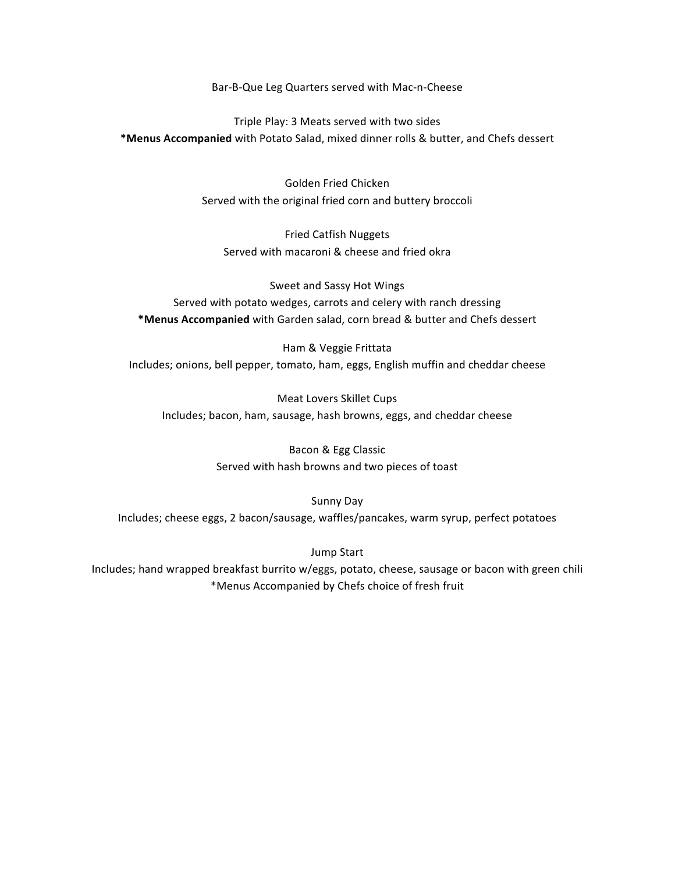Bar-B-Que Leg Quarters served with Mac-n-Cheese

Triple Play: 3 Meats served with two sides **\*Menus Accompanied** with Potato Salad, mixed dinner rolls & butter, and Chefs dessert

> Golden Fried Chicken Served with the original fried corn and buttery broccoli

Fried Catfish Nuggets Served with macaroni & cheese and fried okra

Sweet and Sassy Hot Wings Served with potato wedges, carrots and celery with ranch dressing **\*Menus Accompanied** with Garden salad, corn bread & butter and Chefs dessert

Ham & Veggie Frittata Includes; onions, bell pepper, tomato, ham, eggs, English muffin and cheddar cheese

Meat Lovers Skillet Cups Includes; bacon, ham, sausage, hash browns, eggs, and cheddar cheese

> Bacon & Egg Classic Served with hash browns and two pieces of toast

Sunny Day Includes; cheese eggs, 2 bacon/sausage, waffles/pancakes, warm syrup, perfect potatoes

Jump Start

Includes; hand wrapped breakfast burrito w/eggs, potato, cheese, sausage or bacon with green chili \*Menus Accompanied by Chefs choice of fresh fruit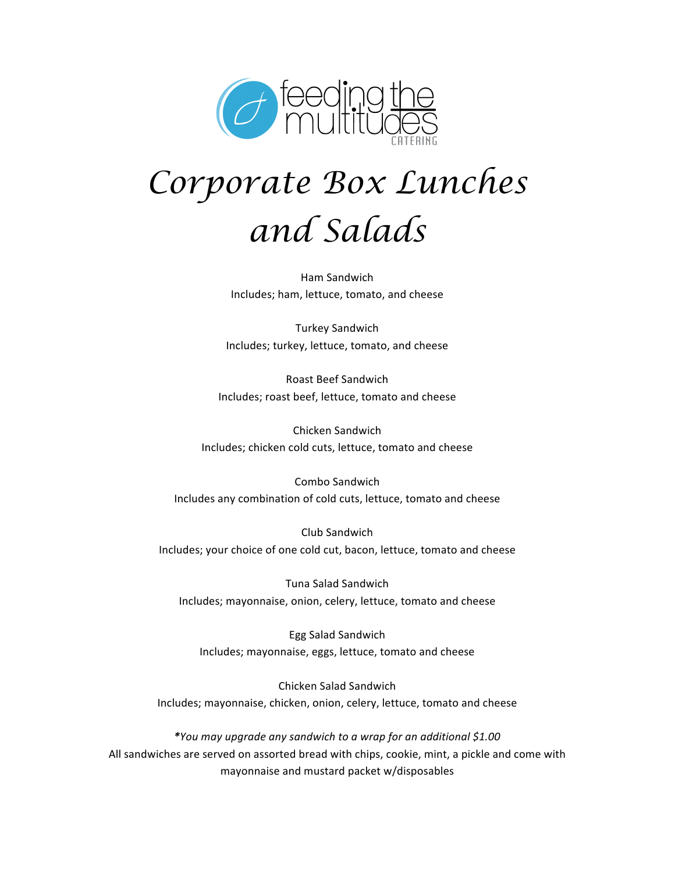

# *Corporate Box Lunches and Salads*

Ham Sandwich Includes; ham, lettuce, tomato, and cheese

Turkey Sandwich Includes; turkey, lettuce, tomato, and cheese

Roast Beef Sandwich Includes; roast beef, lettuce, tomato and cheese

Chicken Sandwich Includes; chicken cold cuts, lettuce, tomato and cheese

Combo Sandwich Includes any combination of cold cuts, lettuce, tomato and cheese

Club Sandwich Includes; your choice of one cold cut, bacon, lettuce, tomato and cheese

Tuna Salad Sandwich Includes; mayonnaise, onion, celery, lettuce, tomato and cheese

Egg Salad Sandwich Includes; mayonnaise, eggs, lettuce, tomato and cheese

Chicken Salad Sandwich Includes; mayonnaise, chicken, onion, celery, lettuce, tomato and cheese

*\*You may upgrade any sandwich to a wrap for an additional \$1.00* All sandwiches are served on assorted bread with chips, cookie, mint, a pickle and come with mayonnaise and mustard packet w/disposables